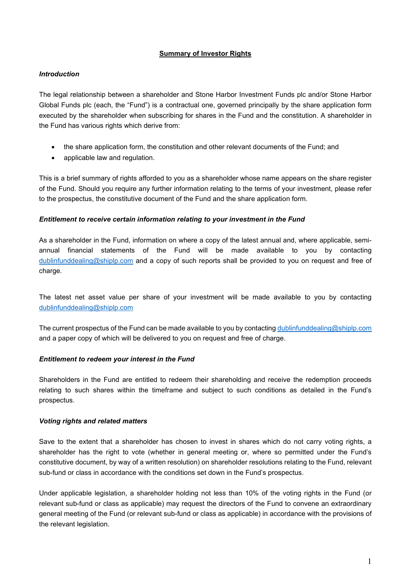## **Summary of Investor Rights**

## *Introduction*

The legal relationship between a shareholder and Stone Harbor Investment Funds plc and/or Stone Harbor Global Funds plc (each, the "Fund") is a contractual one, governed principally by the share application form executed by the shareholder when subscribing for shares in the Fund and the constitution. A shareholder in the Fund has various rights which derive from:

- the share application form, the constitution and other relevant documents of the Fund; and
- applicable law and regulation.

This is a brief summary of rights afforded to you as a shareholder whose name appears on the share register of the Fund. Should you require any further information relating to the terms of your investment, please refer to the prospectus, the constitutive document of the Fund and the share application form.

### *Entitlement to receive certain information relating to your investment in the Fund*

As a shareholder in the Fund, information on where a copy of the latest annual and, where applicable, semiannual financial statements of the Fund will be made available to you by contacting [dublinfunddealing@shiplp.com](mailto:dublinfunddealing@shiplp.com) and a copy of such reports shall be provided to you on request and free of charge.

The latest net asset value per share of your investment will be made available to you by contacting [dublinfunddealing@shiplp.com](mailto:dublinfunddealing@shiplp.com) 

The current prospectus of the Fund can be made available to you by contacting [dublinfunddealing@shiplp.com](mailto:dublinfunddealing@shiplp.com) and a paper copy of which will be delivered to you on request and free of charge.

### *Entitlement to redeem your interest in the Fund*

Shareholders in the Fund are entitled to redeem their shareholding and receive the redemption proceeds relating to such shares within the timeframe and subject to such conditions as detailed in the Fund's prospectus.

# *Voting rights and related matters*

Save to the extent that a shareholder has chosen to invest in shares which do not carry voting rights, a shareholder has the right to vote (whether in general meeting or, where so permitted under the Fund's constitutive document, by way of a written resolution) on shareholder resolutions relating to the Fund, relevant sub-fund or class in accordance with the conditions set down in the Fund's prospectus.

Under applicable legislation, a shareholder holding not less than 10% of the voting rights in the Fund (or relevant sub-fund or class as applicable) may request the directors of the Fund to convene an extraordinary general meeting of the Fund (or relevant sub-fund or class as applicable) in accordance with the provisions of the relevant legislation.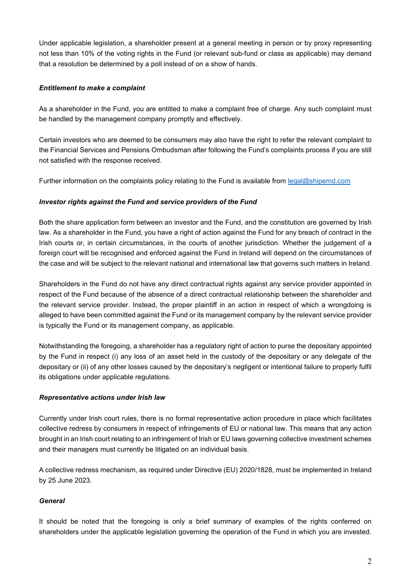Under applicable legislation, a shareholder present at a general meeting in person or by proxy representing not less than 10% of the voting rights in the Fund (or relevant sub-fund or class as applicable) may demand that a resolution be determined by a poll instead of on a show of hands.

## *Entitlement to make a complaint*

As a shareholder in the Fund, you are entitled to make a complaint free of charge. Any such complaint must be handled by the management company promptly and effectively.

Certain investors who are deemed to be consumers may also have the right to refer the relevant complaint to the Financial Services and Pensions Ombudsman after following the Fund's complaints process if you are still not satisfied with the response received.

Further information on the complaints policy relating to the Fund is available from legal@shipemd.com

## *Investor rights against the Fund and service providers of the Fund*

Both the share application form between an investor and the Fund, and the constitution are governed by Irish law. As a shareholder in the Fund, you have a right of action against the Fund for any breach of contract in the Irish courts or, in certain circumstances, in the courts of another jurisdiction. Whether the judgement of a foreign court will be recognised and enforced against the Fund in Ireland will depend on the circumstances of the case and will be subject to the relevant national and international law that governs such matters in Ireland.

Shareholders in the Fund do not have any direct contractual rights against any service provider appointed in respect of the Fund because of the absence of a direct contractual relationship between the shareholder and the relevant service provider. Instead, the proper plaintiff in an action in respect of which a wrongdoing is alleged to have been committed against the Fund or its management company by the relevant service provider is typically the Fund or its management company, as applicable.

Notwithstanding the foregoing, a shareholder has a regulatory right of action to purse the depositary appointed by the Fund in respect (i) any loss of an asset held in the custody of the depositary or any delegate of the depositary or (ii) of any other losses caused by the depositary's negligent or intentional failure to properly fulfil its obligations under applicable regulations.

### *Representative actions under Irish law*

Currently under Irish court rules, there is no formal representative action procedure in place which facilitates collective redress by consumers in respect of infringements of EU or national law. This means that any action brought in an Irish court relating to an infringement of Irish or EU laws governing collective investment schemes and their managers must currently be litigated on an individual basis.

A collective redress mechanism, as required under Directive (EU) 2020/1828, must be implemented in Ireland by 25 June 2023.

# *General*

It should be noted that the foregoing is only a brief summary of examples of the rights conferred on shareholders under the applicable legislation governing the operation of the Fund in which you are invested.